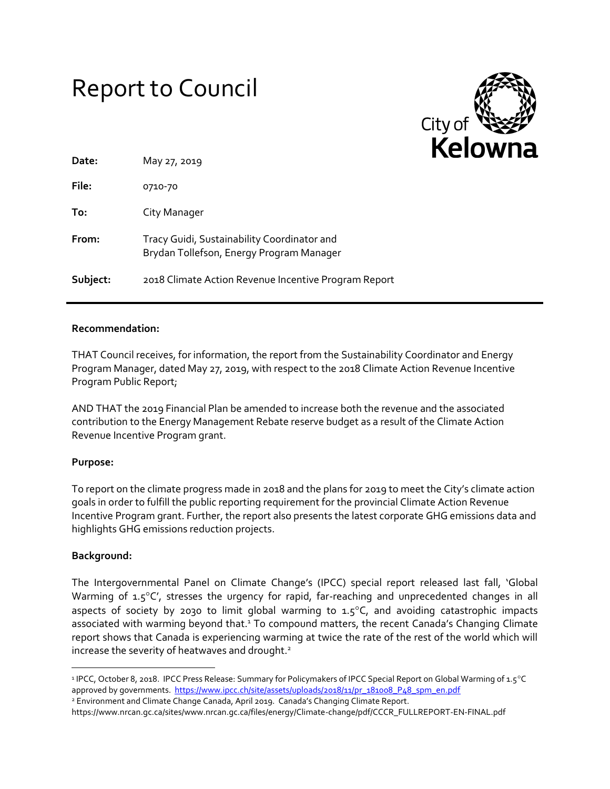# Report to Council



| Date:    | May 27, 2019                                                                            |
|----------|-----------------------------------------------------------------------------------------|
| File:    | 0710-70                                                                                 |
| To:      | City Manager                                                                            |
| From:    | Tracy Guidi, Sustainability Coordinator and<br>Brydan Tollefson, Energy Program Manager |
| Subject: | 2018 Climate Action Revenue Incentive Program Report                                    |

## **Recommendation:**

THAT Council receives, for information, the report from the Sustainability Coordinator and Energy Program Manager, dated May 27, 2019, with respect to the 2018 Climate Action Revenue Incentive Program Public Report;

AND THAT the 2019 Financial Plan be amended to increase both the revenue and the associated contribution to the Energy Management Rebate reserve budget as a result of the Climate Action Revenue Incentive Program grant.

#### **Purpose:**

To report on the climate progress made in 2018 and the plans for 2019 to meet the City's climate action goals in order to fulfill the public reporting requirement for the provincial Climate Action Revenue Incentive Program grant. Further, the report also presents the latest corporate GHG emissions data and highlights GHG emissions reduction projects.

## **Background:**

 $\overline{\phantom{a}}$ 

The Intergovernmental Panel on Climate Change's (IPCC) special report released last fall, 'Global Warming of  $1.5^{\circ}$ C', stresses the urgency for rapid, far-reaching and unprecedented changes in all aspects of society by 2030 to limit global warming to  $1.5^{\circ}$ C, and avoiding catastrophic impacts associated with warming beyond that.<sup>1</sup> To compound matters, the recent Canada's Changing Climate report shows that Canada is experiencing warming at twice the rate of the rest of the world which will increase the severity of heatwaves and drought. $2$ 

<sup>&</sup>lt;sup>1</sup> IPCC, October 8, 2018. IPCC Press Release: Summary for Policymakers of IPCC Special Report on Global Warming of 1.5°C approved by governments. [https://www.ipcc.ch/site/assets/uploads/2018/11/pr\\_181008\\_P48\\_spm\\_en.pdf](https://www.ipcc.ch/site/assets/uploads/2018/11/pr_181008_P48_spm_en.pdf)

<sup>2</sup> Environment and Climate Change Canada, April 2019. Canada's Changing Climate Report. https://www.nrcan.gc.ca/sites/www.nrcan.gc.ca/files/energy/Climate-change/pdf/CCCR\_FULLREPORT-EN-FINAL.pdf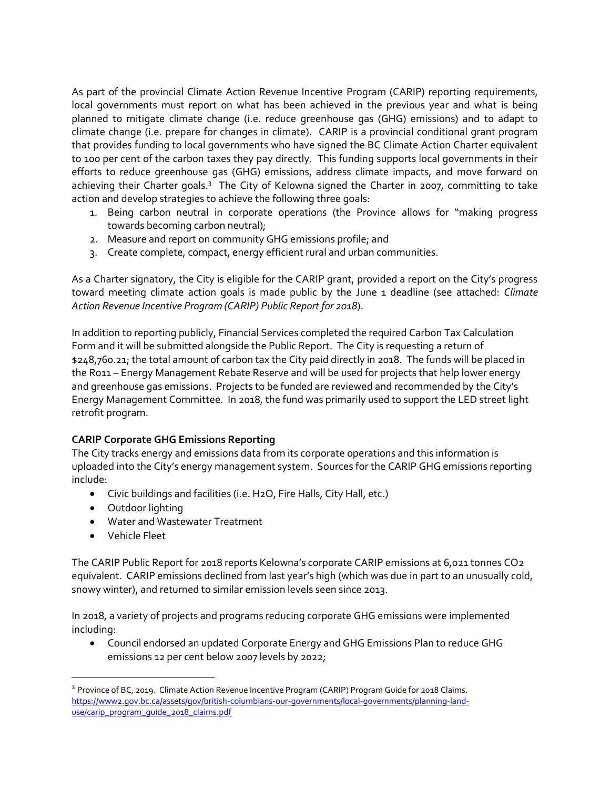As part of the provincial Climate Action Revenue Incentive Program (CARIP) reporting requirements, local governments must report on what has been achieved in the previous year and what is being planned to mitigate climate change (i.e. reduce greenhouse gas (GHG) emissions) and to adapt to climate change (i.e. prepare for changes in climate). CARIP is a provincial conditional grant program that provides funding to local governments who have signed the BC Climate Action Charter equivalent to 100 per cent of the carbon taxes they pay directly. This funding supports local governments in their efforts to reduce greenhouse gas (GHG) emissions, address climate impacts, and move forward on achieving their Charter goals.<sup>3</sup> The City of Kelowna signed the Charter in 2007, committing to take action and develop strategies to achieve the following three goals:

- 1. Being carbon neutral in corporate operations (the Province allows for "making progress towards becoming carbon neutral);
- 2. Measure and report on community GHG emissions profile; and
- 3. Create complete, compact, energy efficient rural and urban communities.

As a Charter signatory, the City is eligible for the CARIP grant, provided a report on the City's progress toward meeting climate action goals is made public by the June 1 deadline (see attached: *Climate Action Revenue Incentive Program (CARIP) Public Report for 2018*).

In addition to reporting publicly, Financial Services completed the required Carbon Tax Calculation Form and it will be submitted alongside the Public Report. The City is requesting a return of \$248,760.21; the total amount of carbon tax the City paid directly in 2018. The funds will be placed in the Ro11 – Energy Management Rebate Reserve and will be used for projects that help lower energy and greenhouse gas emissions. Projects to be funded are reviewed and recommended by the City's Energy Management Committee. In 2018, the fund was primarily used to support the LED street light retrofit program.

# **CARIP Corporate GHG Emissions Reporting**

The City tracks energy and emissions data from its corporate operations and this information is uploaded into the City's energy management system. Sources for the CARIP GHG emissions reporting include:

- Civic buildings and facilities (i.e. H2O, Fire Halls, City Hall, etc.)
- Outdoor lighting
- Water and Wastewater Treatment
- Vehicle Fleet

 $\overline{a}$ 

The CARIP Public Report for 2018 reports Kelowna's corporate CARIP emissions at 6,021 tonnes CO2 equivalent. CARIP emissions declined from last year's high (which was due in part to an unusually cold, snowy winter), and returned to similar emission levels seen since 2013.

In 2018, a variety of projects and programs reducing corporate GHG emissions were implemented including:

 Council endorsed an updated Corporate Energy and GHG Emissions Plan to reduce GHG emissions 12 per cent below 2007 levels by 2022;

<sup>&</sup>lt;sup>3</sup> Province of BC, 2019. Climate Action Revenue Incentive Program (CARIP) Program Guide for 2018 Claims. [https://www2.gov.bc.ca/assets/gov/british-columbians-our-governments/local-governments/planning-land](https://www2.gov.bc.ca/assets/gov/british-columbians-our-governments/local-governments/planning-land-use/carip_program_guide_2018_claims.pdf)use/carip\_program\_quide\_2018\_claims.pdf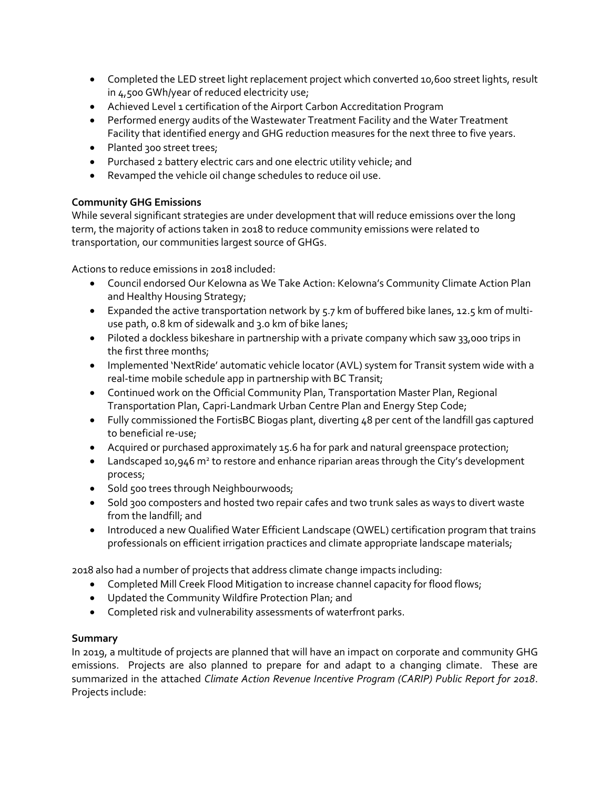- Completed the LED street light replacement project which converted 10,600 street lights, result in 4,500 GWh/year of reduced electricity use;
- Achieved Level 1 certification of the Airport Carbon Accreditation Program
- Performed energy audits of the Wastewater Treatment Facility and the Water Treatment Facility that identified energy and GHG reduction measures for the next three to five years.
- Planted 300 street trees;
- Purchased 2 battery electric cars and one electric utility vehicle; and
- Revamped the vehicle oil change schedules to reduce oil use.

# **Community GHG Emissions**

While several significant strategies are under development that will reduce emissions over the long term, the majority of actions taken in 2018 to reduce community emissions were related to transportation, our communities largest source of GHGs.

Actions to reduce emissions in 2018 included:

- Council endorsed Our Kelowna as We Take Action: Kelowna's Community Climate Action Plan and Healthy Housing Strategy;
- Expanded the active transportation network by 5.7 km of buffered bike lanes, 12.5 km of multiuse path, 0.8 km of sidewalk and 3.0 km of bike lanes;
- Piloted a dockless bikeshare in partnership with a private company which saw 33,000 trips in the first three months;
- Implemented 'NextRide' automatic vehicle locator (AVL) system for Transit system wide with a real-time mobile schedule app in partnership with BC Transit;
- Continued work on the Official Community Plan, Transportation Master Plan, Regional Transportation Plan, Capri-Landmark Urban Centre Plan and Energy Step Code;
- Fully commissioned the FortisBC Biogas plant, diverting 48 per cent of the landfill gas captured to beneficial re-use;
- Acquired or purchased approximately 15.6 ha for park and natural greenspace protection;
- Landscaped 10,946 m<sup>2</sup> to restore and enhance riparian areas through the City's development process;
- Sold 500 trees through Neighbourwoods;
- Sold 300 composters and hosted two repair cafes and two trunk sales as ways to divert waste from the landfill; and
- Introduced a new Qualified Water Efficient Landscape (QWEL) certification program that trains professionals on efficient irrigation practices and climate appropriate landscape materials;

2018 also had a number of projects that address climate change impacts including:

- Completed Mill Creek Flood Mitigation to increase channel capacity for flood flows;
- Updated the Community Wildfire Protection Plan; and
- Completed risk and vulnerability assessments of waterfront parks.

# **Summary**

In 2019, a multitude of projects are planned that will have an impact on corporate and community GHG emissions. Projects are also planned to prepare for and adapt to a changing climate. These are summarized in the attached *Climate Action Revenue Incentive Program (CARIP) Public Report for 2018*. Projects include: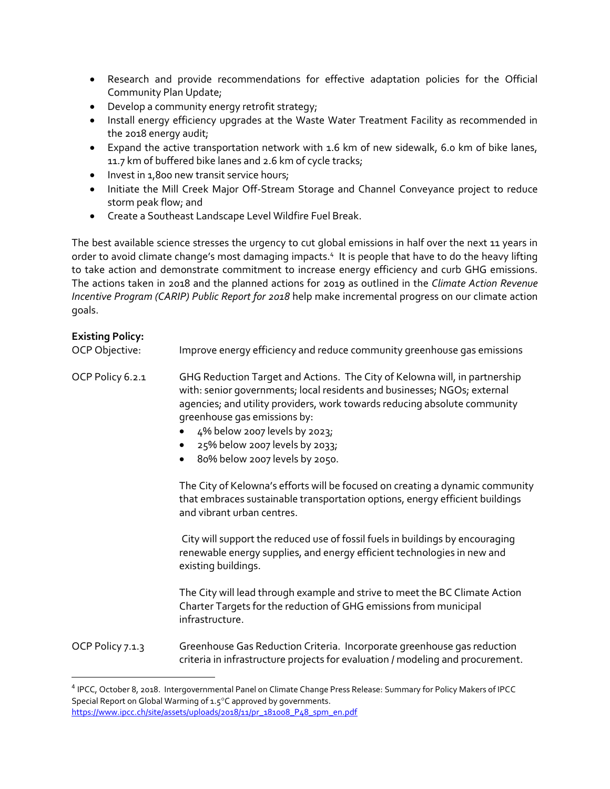- Research and provide recommendations for effective adaptation policies for the Official Community Plan Update;
- Develop a community energy retrofit strategy;
- Install energy efficiency upgrades at the Waste Water Treatment Facility as recommended in the 2018 energy audit;
- Expand the active transportation network with 1.6 km of new sidewalk, 6.0 km of bike lanes, 11.7 km of buffered bike lanes and 2.6 km of cycle tracks;
- Invest in 1,800 new transit service hours;
- Initiate the Mill Creek Major Off-Stream Storage and Channel Conveyance project to reduce storm peak flow; and
- Create a Southeast Landscape Level Wildfire Fuel Break.

The best available science stresses the urgency to cut global emissions in half over the next 11 years in order to avoid climate change's most damaging impacts.<sup>4</sup> It is people that have to do the heavy lifting to take action and demonstrate commitment to increase energy efficiency and curb GHG emissions. The actions taken in 2018 and the planned actions for 2019 as outlined in the *Climate Action Revenue Incentive Program (CARIP) Public Report for 2018* help make incremental progress on our climate action goals.

## **Existing Policy:**

 $\overline{\phantom{a}}$ 

OCP Objective: Improve energy efficiency and reduce community greenhouse gas emissions OCP Policy 6.2.1 GHG Reduction Target and Actions. The City of Kelowna will, in partnership with: senior governments; local residents and businesses; NGOs; external agencies; and utility providers, work towards reducing absolute community greenhouse gas emissions by: 4% below 2007 levels by 2023; 25% below 2007 levels by 2033; 80% below 2007 levels by 2050. The City of Kelowna's efforts will be focused on creating a dynamic community that embraces sustainable transportation options, energy efficient buildings and vibrant urban centres. City will support the reduced use of fossil fuels in buildings by encouraging renewable energy supplies, and energy efficient technologies in new and existing buildings. The City will lead through example and strive to meet the BC Climate Action Charter Targets for the reduction of GHG emissions from municipal infrastructure. OCP Policy 7.1.3 Greenhouse Gas Reduction Criteria. Incorporate greenhouse gas reduction criteria in infrastructure projects for evaluation / modeling and procurement.

<sup>4</sup> IPCC, October 8, 2018. Intergovernmental Panel on Climate Change Press Release: Summary for Policy Makers of IPCC Special Report on Global Warming of  $1.5^{\circ}$ C approved by governments. [https://www.ipcc.ch/site/assets/uploads/2018/11/pr\\_181008\\_P48\\_spm\\_en.pdf](https://www.ipcc.ch/site/assets/uploads/2018/11/pr_181008_P48_spm_en.pdf)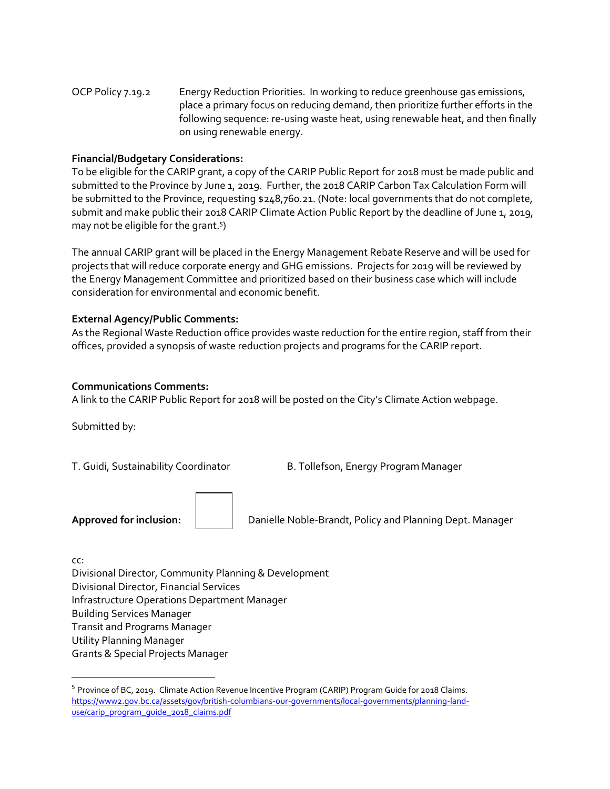OCP Policy 7.19.2 Energy Reduction Priorities. In working to reduce greenhouse gas emissions, place a primary focus on reducing demand, then prioritize further efforts in the following sequence: re-using waste heat, using renewable heat, and then finally on using renewable energy.

## **Financial/Budgetary Considerations:**

To be eligible for the CARIP grant, a copy of the CARIP Public Report for 2018 must be made public and submitted to the Province by June 1, 2019. Further, the 2018 CARIP Carbon Tax Calculation Form will be submitted to the Province, requesting \$248,760.21. (Note: local governments that do not complete, submit and make public their 2018 CARIP Climate Action Public Report by the deadline of June 1, 2019, may not be eligible for the grant.<sup>5</sup>)

The annual CARIP grant will be placed in the Energy Management Rebate Reserve and will be used for projects that will reduce corporate energy and GHG emissions. Projects for 2019 will be reviewed by the Energy Management Committee and prioritized based on their business case which will include consideration for environmental and economic benefit.

#### **External Agency/Public Comments:**

As the Regional Waste Reduction office provides waste reduction for the entire region, staff from their offices, provided a synopsis of waste reduction projects and programs for the CARIP report.

#### **Communications Comments:**

A link to the CARIP Public Report for 2018 will be posted on the City's Climate Action webpage.

Submitted by:

T. Guidi, Sustainability Coordinator B. Tollefson, Energy Program Manager

**Approved for inclusion:**  $\vert$  **Danielle Noble-Brandt, Policy and Planning Dept. Manager** 

cc:

 $\overline{a}$ 

Divisional Director, Community Planning & Development Divisional Director, Financial Services Infrastructure Operations Department Manager Building Services Manager Transit and Programs Manager Utility Planning Manager Grants & Special Projects Manager

<sup>5</sup> Province of BC, 2019. Climate Action Revenue Incentive Program (CARIP) Program Guide for 2018 Claims. [https://www2.gov.bc.ca/assets/gov/british-columbians-our-governments/local-governments/planning-land](https://www2.gov.bc.ca/assets/gov/british-columbians-our-governments/local-governments/planning-land-use/carip_program_guide_2018_claims.pdf)[use/carip\\_program\\_guide\\_2018\\_claims.pdf](https://www2.gov.bc.ca/assets/gov/british-columbians-our-governments/local-governments/planning-land-use/carip_program_guide_2018_claims.pdf)